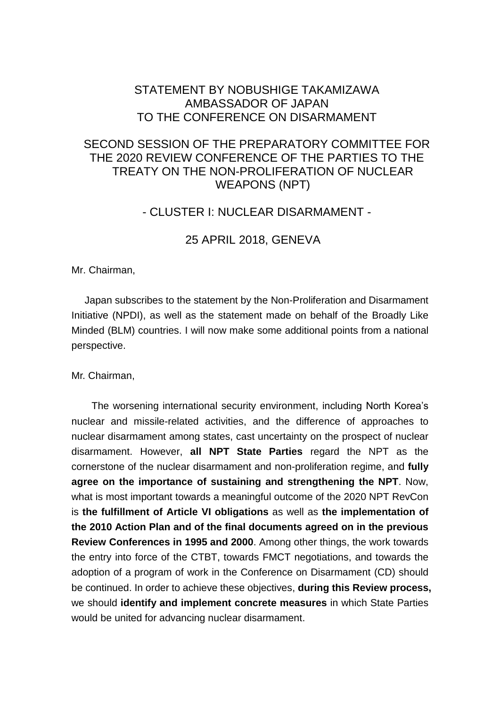# STATEMENT BY NOBUSHIGE TAKAMIZAWA AMBASSADOR OF JAPAN TO THE CONFERENCE ON DISARMAMENT

# SECOND SESSION OF THE PREPARATORY COMMITTEE FOR THE 2020 REVIEW CONFERENCE OF THE PARTIES TO THE TREATY ON THE NON-PROLIFERATION OF NUCLEAR WEAPONS (NPT)

### - CLUSTER I: NUCLEAR DISARMAMENT -

# 25 APRIL 2018, GENEVA

Mr. Chairman,

Japan subscribes to the statement by the Non-Proliferation and Disarmament Initiative (NPDI), as well as the statement made on behalf of the Broadly Like Minded (BLM) countries. I will now make some additional points from a national perspective.

Mr. Chairman,

The worsening international security environment, including North Korea's nuclear and missile-related activities, and the difference of approaches to nuclear disarmament among states, cast uncertainty on the prospect of nuclear disarmament. However, **all NPT State Parties** regard the NPT as the cornerstone of the nuclear disarmament and non-proliferation regime, and **fully agree on the importance of sustaining and strengthening the NPT**. Now, what is most important towards a meaningful outcome of the 2020 NPT RevCon is **the fulfillment of Article VI obligations** as well as **the implementation of the 2010 Action Plan and of the final documents agreed on in the previous Review Conferences in 1995 and 2000**. Among other things, the work towards the entry into force of the CTBT, towards FMCT negotiations, and towards the adoption of a program of work in the Conference on Disarmament (CD) should be continued. In order to achieve these objectives, **during this Review process,**  we should **identify and implement concrete measures** in which State Parties would be united for advancing nuclear disarmament.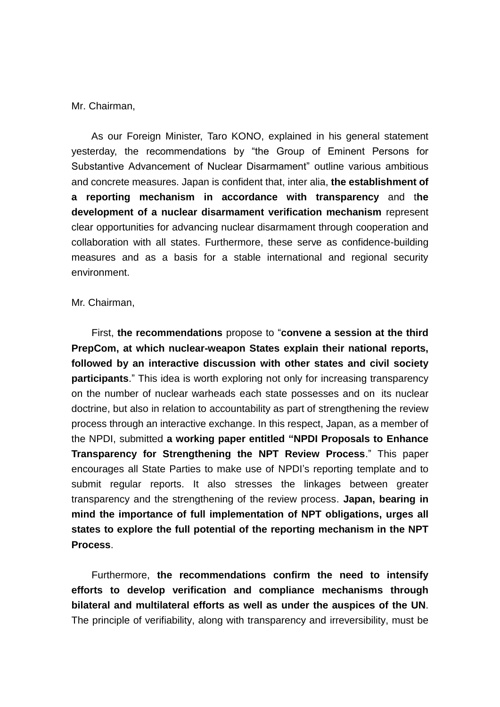#### Mr. Chairman,

As our Foreign Minister, Taro KONO, explained in his general statement yesterday, the recommendations by "the Group of Eminent Persons for Substantive Advancement of Nuclear Disarmament" outline various ambitious and concrete measures. Japan is confident that, inter alia, **the establishment of a reporting mechanism in accordance with transparency** and t**he development of a nuclear disarmament verification mechanism** represent clear opportunities for advancing nuclear disarmament through cooperation and collaboration with all states. Furthermore, these serve as confidence-building measures and as a basis for a stable international and regional security environment.

#### Mr. Chairman,

First, **the recommendations** propose to "**convene a session at the third PrepCom, at which nuclear-weapon States explain their national reports, followed by an interactive discussion with other states and civil society participants**." This idea is worth exploring not only for increasing transparency on the number of nuclear warheads each state possesses and on its nuclear doctrine, but also in relation to accountability as part of strengthening the review process through an interactive exchange. In this respect, Japan, as a member of the NPDI, submitted **a working paper entitled "NPDI Proposals to Enhance Transparency for Strengthening the NPT Review Process**." This paper encourages all State Parties to make use of NPDI's reporting template and to submit regular reports. It also stresses the linkages between greater transparency and the strengthening of the review process. **Japan, bearing in mind the importance of full implementation of NPT obligations, urges all states to explore the full potential of the reporting mechanism in the NPT Process**.

Furthermore, **the recommendations confirm the need to intensify efforts to develop verification and compliance mechanisms through bilateral and multilateral efforts as well as under the auspices of the UN**. The principle of verifiability, along with transparency and irreversibility, must be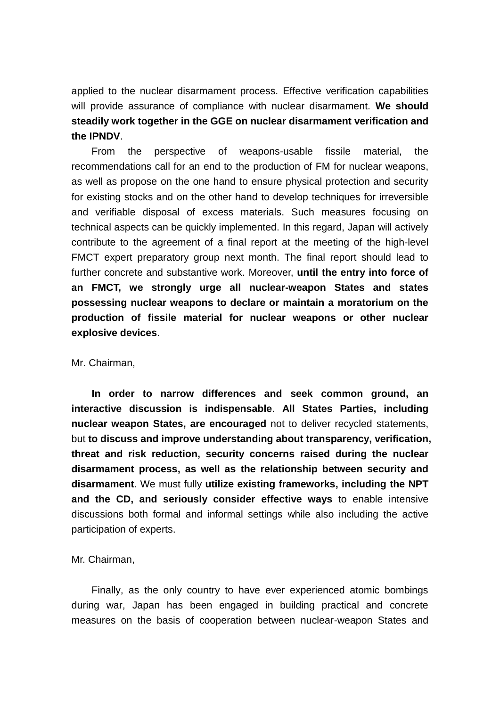applied to the nuclear disarmament process. Effective verification capabilities will provide assurance of compliance with nuclear disarmament. **We should steadily work together in the GGE on nuclear disarmament verification and the IPNDV**.

From the perspective of weapons-usable fissile material, the recommendations call for an end to the production of FM for nuclear weapons, as well as propose on the one hand to ensure physical protection and security for existing stocks and on the other hand to develop techniques for irreversible and verifiable disposal of excess materials. Such measures focusing on technical aspects can be quickly implemented. In this regard, Japan will actively contribute to the agreement of a final report at the meeting of the high-level FMCT expert preparatory group next month. The final report should lead to further concrete and substantive work. Moreover, **until the entry into force of an FMCT, we strongly urge all nuclear-weapon States and states possessing nuclear weapons to declare or maintain a moratorium on the production of fissile material for nuclear weapons or other nuclear explosive devices**.

#### Mr. Chairman,

**In order to narrow differences and seek common ground, an interactive discussion is indispensable**. **All States Parties, including nuclear weapon States, are encouraged** not to deliver recycled statements, but **to discuss and improve understanding about transparency, verification, threat and risk reduction, security concerns raised during the nuclear disarmament process, as well as the relationship between security and disarmament**. We must fully **utilize existing frameworks, including the NPT and the CD, and seriously consider effective ways** to enable intensive discussions both formal and informal settings while also including the active participation of experts.

#### Mr. Chairman,

Finally, as the only country to have ever experienced atomic bombings during war, Japan has been engaged in building practical and concrete measures on the basis of cooperation between nuclear-weapon States and